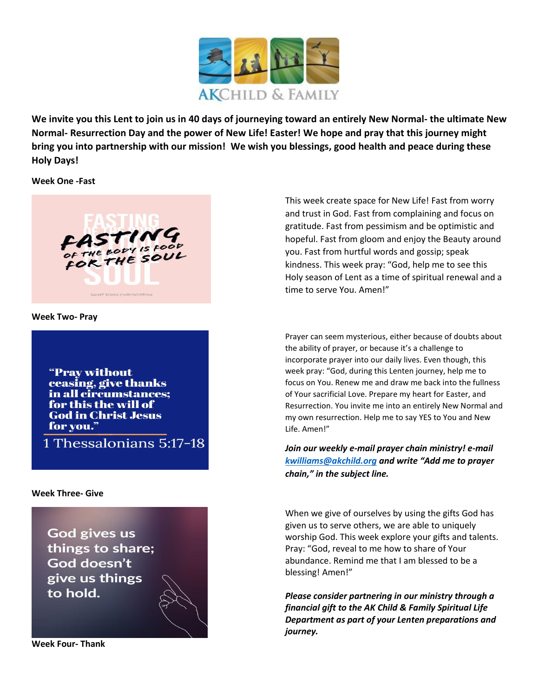

**We invite you this Lent to join us in 40 days of journeying toward an entirely New Normal- the ultimate New Normal- Resurrection Day and the power of New Life! Easter! We hope and pray that this journey might bring you into partnership with our mission! We wish you blessings, good health and peace during these Holy Days!**

**Week One -Fast**



**Week Two- Pray**

"Pray without ceasing, give thanks in all circumstances; for this the will of **God in Christ Jesus** for you."

1 Thessalonians 5:17-18

**Week Three- Give**

**God gives us** things to share; God doesn't give us things to hold.

**Week Four- Thank**

This week create space for New Life! Fast from worry and trust in God. Fast from complaining and focus on gratitude. Fast from pessimism and be optimistic and hopeful. Fast from gloom and enjoy the Beauty around you. Fast from hurtful words and gossip; speak kindness. This week pray: "God, help me to see this Holy season of Lent as a time of spiritual renewal and a time to serve You. Amen!"

Prayer can seem mysterious, either because of doubts about the ability of prayer, or because it's a challenge to incorporate prayer into our daily lives. Even though, this week pray: "God, during this Lenten journey, help me to focus on You. Renew me and draw me back into the fullness of Your sacrificial Love. Prepare my heart for Easter, and Resurrection. You invite me into an entirely New Normal and my own resurrection. Help me to say YES to You and New Life. Amen!"

*Join our weekly e-mail prayer chain ministry! e-mail [kwilliams@akchild.org](mailto:kwilliams@akchild.org) and write "Add me to prayer chain," in the subject line.*

When we give of ourselves by using the gifts God has given us to serve others, we are able to uniquely worship God. This week explore your gifts and talents. Pray: "God, reveal to me how to share of Your abundance. Remind me that I am blessed to be a blessing! Amen!"

*Please consider partnering in our ministry through a financial gift to the AK Child & Family Spiritual Life Department as part of your Lenten preparations and journey.*